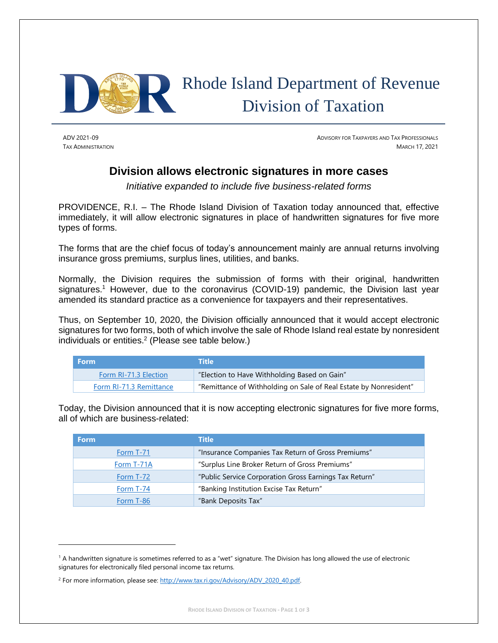

# Rhode Island Department of Revenue Division of Taxation

ADV 2021-09 ADVISORY FOR TAXPAYERS AND TAX PROFESSIONALS **TAX ADMINISTRATION** MARCH 17, 2021

## **Division allows electronic signatures in more cases**

*Initiative expanded to include five business-related forms*

PROVIDENCE, R.I. – The Rhode Island Division of Taxation today announced that, effective immediately, it will allow electronic signatures in place of handwritten signatures for five more types of forms.

The forms that are the chief focus of today's announcement mainly are annual returns involving insurance gross premiums, surplus lines, utilities, and banks.

Normally, the Division requires the submission of forms with their original, handwritten signatures.<sup>1</sup> However, due to the coronavirus (COVID-19) pandemic, the Division last year amended its standard practice as a convenience for taxpayers and their representatives.

Thus, on September 10, 2020, the Division officially announced that it would accept electronic signatures for two forms, both of which involve the sale of Rhode Island real estate by nonresident individuals or entities. 2 (Please see table below.)

| <b>Form</b>             | <b>Title</b>                                                      |
|-------------------------|-------------------------------------------------------------------|
| Form RI-71.3 Election   | "Election to Have Withholding Based on Gain"                      |
| Form RI-71.3 Remittance | "Remittance of Withholding on Sale of Real Estate by Nonresident" |

Today, the Division announced that it is now accepting electronic signatures for five more forms, all of which are business-related:

| <b>Form</b>      | <b>Title</b>                                           |
|------------------|--------------------------------------------------------|
| <b>Form T-71</b> | "Insurance Companies Tax Return of Gross Premiums"     |
| Form T-71A       | "Surplus Line Broker Return of Gross Premiums"         |
| Form T-72        | "Public Service Corporation Gross Earnings Tax Return" |
| Form T-74        | "Banking Institution Excise Tax Return"                |
| Form T-86        | "Bank Deposits Tax"                                    |

<sup>1</sup> A handwritten signature is sometimes referred to as a "wet" signature. The Division has long allowed the use of electronic signatures for electronically filed personal income tax returns.

<sup>&</sup>lt;sup>2</sup> For more information, please see[: http://www.tax.ri.gov/Advisory/ADV\\_2020\\_40.pdf.](http://www.tax.ri.gov/Advisory/ADV_2020_40.pdf)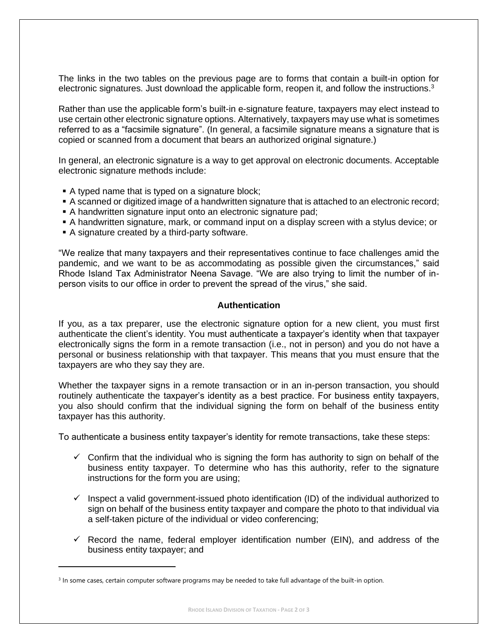The links in the two tables on the previous page are to forms that contain a built-in option for electronic signatures. Just download the applicable form, reopen it, and follow the instructions.<sup>3</sup>

Rather than use the applicable form's built-in e-signature feature, taxpayers may elect instead to use certain other electronic signature options. Alternatively, taxpayers may use what is sometimes referred to as a "facsimile signature". (In general, a facsimile signature means a signature that is copied or scanned from a document that bears an authorized original signature.)

In general, an electronic signature is a way to get approval on electronic documents. Acceptable electronic signature methods include:

- A typed name that is typed on a signature block;
- A scanned or digitized image of a handwritten signature that is attached to an electronic record;
- A handwritten signature input onto an electronic signature pad;
- **A handwritten signature, mark, or command input on a display screen with a stylus device; or**
- A signature created by a third-party software.

"We realize that many taxpayers and their representatives continue to face challenges amid the pandemic, and we want to be as accommodating as possible given the circumstances," said Rhode Island Tax Administrator Neena Savage. "We are also trying to limit the number of inperson visits to our office in order to prevent the spread of the virus," she said.

#### **Authentication**

If you, as a tax preparer, use the electronic signature option for a new client, you must first authenticate the client's identity. You must authenticate a taxpayer's identity when that taxpayer electronically signs the form in a remote transaction (i.e., not in person) and you do not have a personal or business relationship with that taxpayer. This means that you must ensure that the taxpayers are who they say they are.

Whether the taxpayer signs in a remote transaction or in an in-person transaction, you should routinely authenticate the taxpayer's identity as a best practice. For business entity taxpayers, you also should confirm that the individual signing the form on behalf of the business entity taxpayer has this authority.

To authenticate a business entity taxpayer's identity for remote transactions, take these steps:

- $\checkmark$  Confirm that the individual who is signing the form has authority to sign on behalf of the business entity taxpayer. To determine who has this authority, refer to the signature instructions for the form you are using;
- $\checkmark$  Inspect a valid government-issued photo identification (ID) of the individual authorized to sign on behalf of the business entity taxpayer and compare the photo to that individual via a self-taken picture of the individual or video conferencing;
- $\checkmark$  Record the name, federal employer identification number (EIN), and address of the business entity taxpayer; and

<sup>&</sup>lt;sup>3</sup> In some cases, certain computer software programs may be needed to take full advantage of the built-in option.